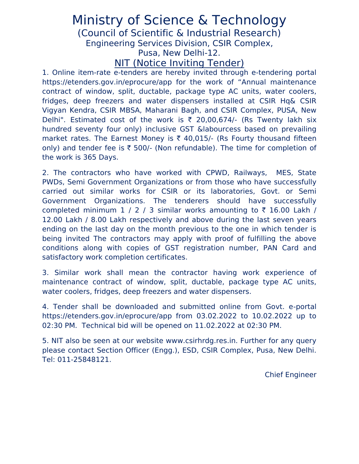## Ministry of Science & Technology

(Council of Scientific & Industrial Research)

Engineering Services Division, CSIR Complex,

Pusa, New Delhi-12.

NIT (Notice Inviting Tender)

1. Online item-rate e-tenders are hereby invited through e-tendering portal https://etenders.gov.in/eprocure/app for the work of "Annual maintenance contract of window, split, ductable, package type AC units, water coolers, fridges, deep freezers and water dispensers installed at CSIR Hq& CSIR Vigyan Kendra, CSIR MBSA, Maharani Bagh, and CSIR Complex, PUSA, New Delhi". Estimated cost of the work is  $\bar{\tau}$  20,00,674/- (Rs Twenty lakh six hundred seventy four only) inclusive GST &labourcess based on prevailing market rates. The Earnest Money is  $\bar{\tau}$  40,015/- (Rs Fourty thousand fifteen only) and tender fee is  $\bar{\tau}$  500/- (Non refundable). The time for completion of the work is 365 Days.

2. The contractors who have worked with CPWD, Railways, MES, State PWDs, Semi Government Organizations or from those who have successfully carried out similar works for CSIR or its laboratories, Govt. or Semi Government Organizations. The tenderers should have successfully completed minimum 1 / 2 / 3 similar works amounting to  $\bar{\tau}$  16.00 Lakh / 12.00 Lakh / 8.00 Lakh respectively and above during the last seven years ending on the last day on the month previous to the one in which tender is being invited The contractors may apply with proof of fulfilling the above conditions along with copies of GST registration number, PAN Card and satisfactory work completion certificates.

3. Similar work shall mean the contractor having work experience of maintenance contract of window, split, ductable, package type AC units, water coolers, fridges, deep freezers and water dispensers.

4. Tender shall be downloaded and submitted online from Govt. e-portal https://etenders.gov.in/eprocure/app from 03.02.2022 to 10.02.2022 up to 02:30 PM. Technical bid will be opened on 11.02.2022 at 02:30 PM.

5. NIT also be seen at our website www.csirhrdg.res.in. Further for any query please contact Section Officer (Engg.), ESD, CSIR Complex, Pusa, New Delhi. Tel: 011-25848121.

Chief Engineer